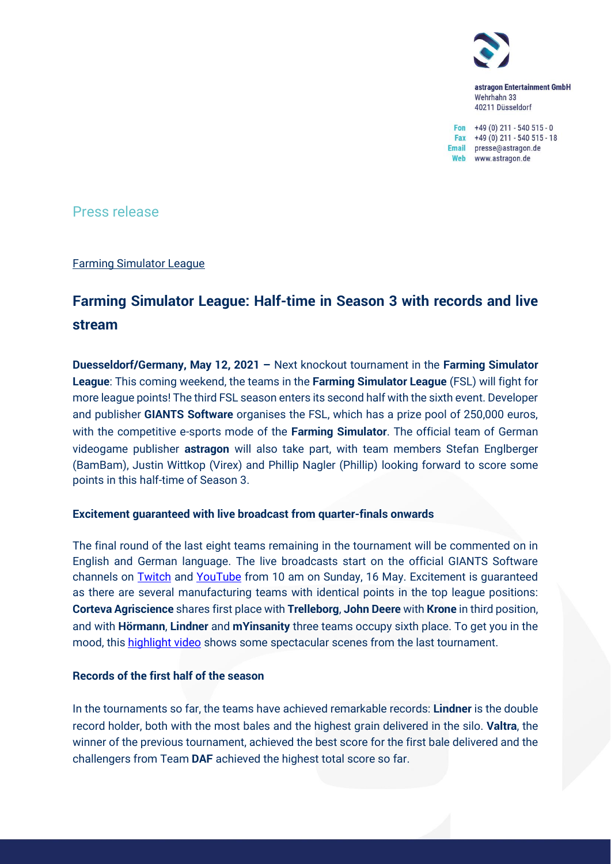

astragon Entertainment GmbH Wehrhahn 33 40211 Düsseldorf

Fon  $+49(0)$  211 - 540 515 - 0 Fax  $+49(0)$  211 - 540 515 - 18 Email presse@astragon.de Web www.astragon.de

Press release

Farming Simulator League

# **Farming Simulator League: Half-time in Season 3 with records and live stream**

**Duesseldorf/Germany, May 12, 2021 –** Next knockout tournament in the **Farming Simulator League**: This coming weekend, the teams in the **Farming Simulator League** (FSL) will fight for more league points! The third FSL season enters its second half with the sixth event. Developer and publisher **GIANTS Software** organises the FSL, which has a prize pool of 250,000 euros, with the competitive e-sports mode of the **Farming Simulator**. The official team of German videogame publisher **astragon** will also take part, with team members Stefan Englberger (BamBam), Justin Wittkop (Virex) and Phillip Nagler (Phillip) looking forward to score some points in this half-time of Season 3.

### **Excitement guaranteed with live broadcast from quarter-finals onwards**

The final round of the last eight teams remaining in the tournament will be commented on in English and German language. The live broadcasts start on the official GIANTS Software channels on [Twitch](https://www.twitch.tv/giantssoftware) and [YouTube](https://www.youtube.com/channel/UCafFf1WOCrWiBiGlBRsg6HQ) from 10 am on Sunday, 16 May. Excitement is guaranteed as there are several manufacturing teams with identical points in the top league positions: **Corteva Agriscience** shares first place with **Trelleborg**, **John Deere** with **Krone** in third position, and with **Hörmann**, **Lindner** and **mYinsanity** three teams occupy sixth place. To get you in the mood, this [highlight video](https://www.youtube.com/watch?v=q4xlvOVNisY) shows some spectacular scenes from the last tournament.

## **Records of the first half of the season**

In the tournaments so far, the teams have achieved remarkable records: **Lindner** is the double record holder, both with the most bales and the highest grain delivered in the silo. **Valtra**, the winner of the previous tournament, achieved the best score for the first bale delivered and the challengers from Team **DAF** achieved the highest total score so far.